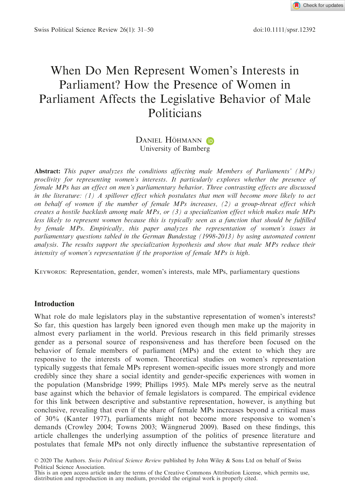

Swiss Political Science Review 26(1): 31–50 doi:10.1111/spsr.12392

# When Do Men Represent Women's Interests in Parliament? How the Presence of Women in Parliament Affects the Legislative Behavior of Male Politicians

# DANIEL HÖHMANN (D University of Bamberg

Abstract: This paper analyzes the conditions affecting male Members of Parliaments' (MPs) proclivity for representing women's interests. It particularly explores whether the presence of female MPs has an effect on men's parliamentary behavior. Three contrasting effects are discussed in the literature:  $(1)$  A spillover effect which postulates that men will become more likely to act on behalf of women if the number of female MPs increases, (2) a group-threat effect which creates a hostile backlash among male MPs, or  $(3)$  a specialization effect which makes male MPs less likely to represent women because this is typically seen as a function that should be fulfilled by female MPs. Empirically, this paper analyzes the representation of women's issues in parliamentary questions tabled in the German Bundestag (1998-2013) by using automated content analysis. The results support the specialization hypothesis and show that male MPs reduce their intensity of women's representation if the proportion of female MPs is high.

KEYWORDS: Representation, gender, women's interests, male MPs, parliamentary questions

# Introduction

What role do male legislators play in the substantive representation of women's interests? So far, this question has largely been ignored even though men make up the majority in almost every parliament in the world. Previous research in this field primarily stresses gender as a personal source of responsiveness and has therefore been focused on the behavior of female members of parliament (MPs) and the extent to which they are responsive to the interests of women. Theoretical studies on women's representation typically suggests that female MPs represent women-specific issues more strongly and more credibly since they share a social identity and gender-specific experiences with women in the population (Mansbridge 1999; Phillips 1995). Male MPs merely serve as the neutral base against which the behavior of female legislators is compared. The empirical evidence for this link between descriptive and substantive representation, however, is anything but conclusive, revealing that even if the share of female MPs increases beyond a critical mass of 30% (Kanter 1977), parliaments might not become more responsive to women's demands (Crowley 2004; Towns 2003; Wängnerud 2009). Based on these findings, this article challenges the underlying assumption of the politics of presence literature and postulates that female MPs not only directly influence the substantive representation of

© 2020 The Authors. Swiss Political Science Review published by John Wiley & Sons Ltd on behalf of Swiss Political Science Association.

This is an open access article under the terms of the [Creative Commons Attribution](http://creativecommons.org/licenses/by/4.0/) License, which permits use, distribution and reproduction in any medium, provided the original work is properly cited.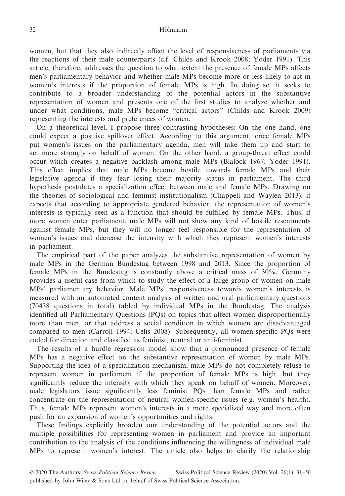women, but that they also indirectly affect the level of responsiveness of parliaments via the reactions of their male counterparts (c.f. Childs and Krook 2008; Yoder 1991). This article, therefore, addresses the question to what extent the presence of female MPs affects men's parliamentary behavior and whether male MPs become more or less likely to act in women's interests if the proportion of female MPs is high. In doing so, it seeks to contribute to a broader understanding of the potential actors in the substantive representation of women and presents one of the first studies to analyze whether and under what conditions, male MPs become "critical actors" (Childs and Krook 2009) representing the interests and preferences of women.

On a theoretical level, I propose three contrasting hypotheses: On the one hand, one could expect a positive spillover effect. According to this argument, once female MPs put women's issues on the parliamentary agenda, men will take them up and start to act more strongly on behalf of women. On the other hand, a group-threat effect could occur which creates a negative backlash among male MPs (Blalock 1967; Yoder 1991). This effect implies that male MPs become hostile towards female MPs and their legislative agenda if they fear losing their majority status in parliament. The third hypothesis postulates a specialization effect between male and female MPs. Drawing on the theories of sociological and feminist institutionalism (Chappell and Waylen 2013), it expects that according to appropriate gendered behavior, the representation of women's interests is typically seen as a function that should be fulfilled by female MPs. Thus, if more women enter parliament, male MPs will not show any kind of hostile resentments against female MPs, but they will no longer feel responsible for the representation of women's issues and decrease the intensity with which they represent women's interests in parliament.

The empirical part of the paper analyzes the substantive representation of women by male MPs in the German Bundestag between 1998 and 2013. Since the proportion of female MPs in the Bundestag is constantly above a critical mass of 30%, Germany provides a useful case from which to study the effect of a large group of women on male MPs' parliamentary behavior. Male MPs' responsiveness towards women's interests is measured with an automated content analysis of written and oral parliamentary questions (70438 questions in total) tabled by individual MPs in the Bundestag. The analysis identified all Parliamentary Questions (PQs) on topics that affect women disproportionally more than men, or that address a social condition in which women are disadvantaged compared to men (Carroll 1994; Celis 2008). Subsequently, all women-specific PQs were coded for direction and classified as feminist, neutral or anti-feminist.

The results of a hurdle regression model show that a pronounced presence of female MPs has a negative effect on the substantive representation of women by male MPs. Supporting the idea of a specialization-mechanism, male MPs do not completely refuse to represent women in parliament if the proportion of female MPs is high, but they significantly reduce the intensity with which they speak on behalf of women. Moreover, male legislators issue significantly less feminist PQs than female MPs and rather concentrate on the representation of neutral women-specific issues (e.g. women's health). Thus, female MPs represent women's interests in a more specialized way and more often push for an expansion of women's opportunities and rights.

These findings explicitly broaden our understanding of the potential actors and the multiple possibilities for representing women in parliament and provide an important contribution to the analysis of the conditions influencing the willingness of individual male MPs to represent women's interest. The article also helps to clarify the relationship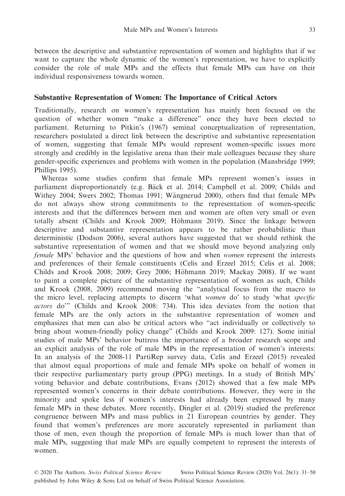between the descriptive and substantive representation of women and highlights that if we want to capture the whole dynamic of the women's representation, we have to explicitly consider the role of male MPs and the effects that female MPs can have on their individual responsiveness towards women.

# Substantive Representation of Women: The Importance of Critical Actors

Traditionally, research on women's representation has mainly been focused on the question of whether women "make a difference" once they have been elected to parliament. Returning to Pitkin's (1967) seminal conceptualization of representation, researchers postulated a direct link between the descriptive and substantive representation of women, suggesting that female MPs would represent women-specific issues more strongly and credibly in the legislative arena than their male colleagues because they share gender-specific experiences and problems with women in the population (Mansbridge 1999; Phillips 1995).

Whereas some studies confirm that female MPs represent women's issues in parliament disproportionately (e.g. Bäck et al. 2014; Campbell et al. 2009; Childs and Withey 2004; Swers 2002; Thomas 1991; Wängnerud 2000), others find that female MPs do not always show strong commitments to the representation of women-specific interests and that the differences between men and women are often very small or even totally absent (Childs and Krook 2009; Höhmann 2019). Since the linkage between descriptive and substantive representation appears to be rather probabilistic than deterministic (Dodson 2006), several authors have suggested that we should rethink the substantive representation of women and that we should move beyond analyzing only female MPs' behavior and the questions of how and when women represent the interests and preferences of their female constituents (Celis and Erzeel 2015; Celis et al. 2008; Childs and Krook 2008; 2009; Grey 2006; Höhmann 2019; Mackay 2008). If we want to paint a complete picture of the substantive representation of women as such, Childs and Krook (2008, 2009) recommend moving the "analytical focus from the macro to the micro level, replacing attempts to discern 'what women do' to study 'what specific actors do'" (Childs and Krook 2008: 734). This idea deviates from the notion that female MPs are the only actors in the substantive representation of women and emphasizes that men can also be critical actors who "act individually or collectively to bring about women-friendly policy change" (Childs and Krook 2009: 127). Some initial studies of male MPs' behavior buttress the importance of a broader research scope and an explicit analysis of the role of male MPs in the representation of women's interests: In an analysis of the 2008-11 PartiRep survey data, Celis and Erzeel (2015) revealed that almost equal proportions of male and female MPs spoke on behalf of women in their respective parliamentary party group (PPG) meetings. In a study of British MPs' voting behavior and debate contributions, Evans (2012) showed that a few male MPs represented women's concerns in their debate contributions. However, they were in the minority and spoke less if women's interests had already been expressed by many female MPs in these debates. More recently, Dingler et al. (2019) studied the preference congruence between MPs and mass publics in 21 European countries by gender. They found that women's preferences are more accurately represented in parliament than those of men, even though the proportion of female MPs is much lower than that of male MPs, suggesting that male MPs are equally competent to represent the interests of women.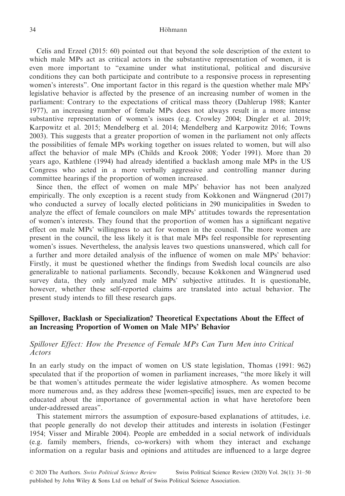Celis and Erzeel (2015: 60) pointed out that beyond the sole description of the extent to which male MPs act as critical actors in the substantive representation of women, it is even more important to "examine under what institutional, political and discursive conditions they can both participate and contribute to a responsive process in representing women's interests". One important factor in this regard is the question whether male MPs' legislative behavior is affected by the presence of an increasing number of women in the parliament: Contrary to the expectations of critical mass theory (Dahlerup 1988; Kanter 1977), an increasing number of female MPs does not always result in a more intense substantive representation of women's issues (e.g. Crowley 2004; Dingler et al. 2019; Karpowitz et al. 2015; Mendelberg et al. 2014; Mendelberg and Karpowitz 2016; Towns 2003). This suggests that a greater proportion of women in the parliament not only affects the possibilities of female MPs working together on issues related to women, but will also affect the behavior of male MPs (Childs and Krook 2008; Yoder 1991). More than 20 years ago, Kathlene (1994) had already identified a backlash among male MPs in the US Congress who acted in a more verbally aggressive and controlling manner during committee hearings if the proportion of women increased.

Since then, the effect of women on male MPs' behavior has not been analyzed empirically. The only exception is a recent study from Kokkonen and Wängnerud (2017) who conducted a survey of locally elected politicians in 290 municipalities in Sweden to analyze the effect of female councilors on male MPs' attitudes towards the representation of women's interests. They found that the proportion of women has a significant negative effect on male MPs' willingness to act for women in the council. The more women are present in the council, the less likely it is that male MPs feel responsible for representing women's issues. Nevertheless, the analysis leaves two questions unanswered, which call for a further and more detailed analysis of the influence of women on male MPs' behavior: Firstly, it must be questioned whether the findings from Swedish local councils are also generalizable to national parliaments. Secondly, because Kokkonen and Wängnerud used survey data, they only analyzed male MPs' subjective attitudes. It is questionable, however, whether these self-reported claims are translated into actual behavior. The present study intends to fill these research gaps.

## Spillover, Backlash or Specialization? Theoretical Expectations About the Effect of an Increasing Proportion of Women on Male MPs' Behavior

# Spillover Effect: How the Presence of Female MPs Can Turn Men into Critical Actors

In an early study on the impact of women on US state legislation, Thomas (1991: 962) speculated that if the proportion of women in parliament increases, "the more likely it will be that women's attitudes permeate the wider legislative atmosphere. As women become more numerous and, as they address these [women-specific] issues, men are expected to be educated about the importance of governmental action in what have heretofore been under-addressed areas".

This statement mirrors the assumption of exposure-based explanations of attitudes, i.e. that people generally do not develop their attitudes and interests in isolation (Festinger 1954; Visser and Mirable 2004). People are embedded in a social network of individuals (e.g. family members, friends, co-workers) with whom they interact and exchange information on a regular basis and opinions and attitudes are influenced to a large degree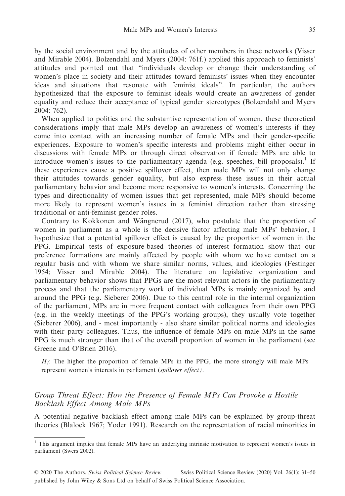by the social environment and by the attitudes of other members in these networks (Visser and Mirable 2004). Bolzendahl and Myers (2004: 761f.) applied this approach to feminists' attitudes and pointed out that "individuals develop or change their understanding of women's place in society and their attitudes toward feminists' issues when they encounter ideas and situations that resonate with feminist ideals". In particular, the authors hypothesized that the exposure to feminist ideals would create an awareness of gender equality and reduce their acceptance of typical gender stereotypes (Bolzendahl and Myers 2004: 762).

When applied to politics and the substantive representation of women, these theoretical considerations imply that male MPs develop an awareness of women's interests if they come into contact with an increasing number of female MPs and their gender-specific experiences. Exposure to women's specific interests and problems might either occur in discussions with female MPs or through direct observation if female MPs are able to introduce women's issues to the parliamentary agenda (e.g. speeches, bill proposals).<sup>1</sup> If these experiences cause a positive spillover effect, then male MPs will not only change their attitudes towards gender equality, but also express these issues in their actual parliamentary behavior and become more responsive to women's interests. Concerning the types and directionality of women issues that get represented, male MPs should become more likely to represent women's issues in a feminist direction rather than stressing traditional or anti-feminist gender roles.

Contrary to Kokkonen and Wängnerud (2017), who postulate that the proportion of women in parliament as a whole is the decisive factor affecting male MPs' behavior, I hypothesize that a potential spillover effect is caused by the proportion of women in the PPG. Empirical tests of exposure-based theories of interest formation show that our preference formations are mainly affected by people with whom we have contact on a regular basis and with whom we share similar norms, values, and ideologies (Festinger 1954; Visser and Mirable 2004). The literature on legislative organization and parliamentary behavior shows that PPGs are the most relevant actors in the parliamentary process and that the parliamentary work of individual MPs is mainly organized by and around the PPG (e.g. Sieberer 2006). Due to this central role in the internal organization of the parliament, MPs are in more frequent contact with colleagues from their own PPG (e.g. in the weekly meetings of the PPG's working groups), they usually vote together (Sieberer 2006), and - most importantly - also share similar political norms and ideologies with their party colleagues. Thus, the influence of female MPs on male MPs in the same PPG is much stronger than that of the overall proportion of women in the parliament (see Greene and O'Brien 2016).

 $H_1$ : The higher the proportion of female MPs in the PPG, the more strongly will male MPs represent women's interests in parliament (spillover effect).

# Group Threat Effect: How the Presence of Female MPs Can Provoke a Hostile Backlash Effect Among Male MPs

A potential negative backlash effect among male MPs can be explained by group-threat theories (Blalock 1967; Yoder 1991). Research on the representation of racial minorities in

<sup>1</sup> This argument implies that female MPs have an underlying intrinsic motivation to represent women's issues in parliament (Swers 2002).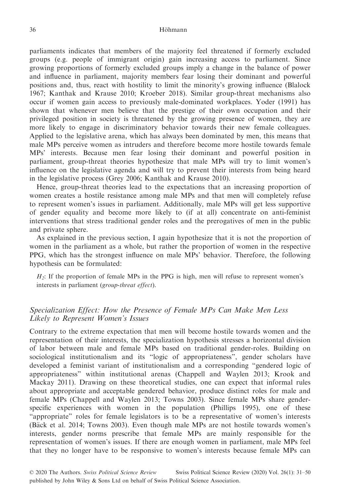parliaments indicates that members of the majority feel threatened if formerly excluded groups (e.g. people of immigrant origin) gain increasing access to parliament. Since growing proportions of formerly excluded groups imply a change in the balance of power and influence in parliament, majority members fear losing their dominant and powerful positions and, thus, react with hostility to limit the minority's growing influence (Blalock 1967; Kanthak and Krause 2010; Kroeber 2018). Similar group-threat mechanisms also occur if women gain access to previously male-dominated workplaces. Yoder (1991) has shown that whenever men believe that the prestige of their own occupation and their privileged position in society is threatened by the growing presence of women, they are more likely to engage in discriminatory behavior towards their new female colleagues. Applied to the legislative arena, which has always been dominated by men, this means that male MPs perceive women as intruders and therefore become more hostile towards female MPs' interests. Because men fear losing their dominant and powerful position in parliament, group-threat theories hypothesize that male MPs will try to limit women's influence on the legislative agenda and will try to prevent their interests from being heard in the legislative process (Grey 2006; Kanthak and Krause 2010).

Hence, group-threat theories lead to the expectations that an increasing proportion of women creates a hostile resistance among male MPs and that men will completely refuse to represent women's issues in parliament. Additionally, male MPs will get less supportive of gender equality and become more likely to (if at all) concentrate on anti-feminist interventions that stress traditional gender roles and the prerogatives of men in the public and private sphere.

As explained in the previous section, I again hypothesize that it is not the proportion of women in the parliament as a whole, but rather the proportion of women in the respective PPG, which has the strongest influence on male MPs' behavior. Therefore, the following hypothesis can be formulated:

 $H<sub>2</sub>$ : If the proportion of female MPs in the PPG is high, men will refuse to represent women's interests in parliament (group-threat effect).

# Specialization Effect: How the Presence of Female MPs Can Make Men Less Likely to Represent Women's Issues

Contrary to the extreme expectation that men will become hostile towards women and the representation of their interests, the specialization hypothesis stresses a horizontal division of labor between male and female MPs based on traditional gender-roles. Building on sociological institutionalism and its "logic of appropriateness", gender scholars have developed a feminist variant of institutionalism and a corresponding "gendered logic of appropriateness" within institutional arenas (Chappell and Waylen 2013; Krook and Mackay 2011). Drawing on these theoretical studies, one can expect that informal rules about appropriate and acceptable gendered behavior, produce distinct roles for male and female MPs (Chappell and Waylen 2013; Towns 2003). Since female MPs share genderspecific experiences with women in the population (Phillips 1995), one of these "appropriate" roles for female legislators is to be a representative of women's interests (B€ack et al. 2014; Towns 2003). Even though male MPs are not hostile towards women's interests, gender norms prescribe that female MPs are mainly responsible for the representation of women's issues. If there are enough women in parliament, male MPs feel that they no longer have to be responsive to women's interests because female MPs can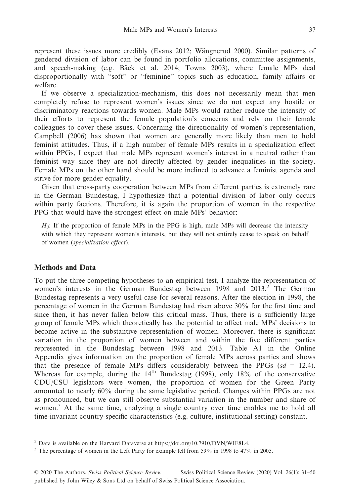represent these issues more credibly (Evans 2012; Wängnerud 2000). Similar patterns of gendered division of labor can be found in portfolio allocations, committee assignments, and speech-making (e.g. Bäck et al. 2014; Towns 2003), where female MPs deal disproportionally with "soft" or "feminine" topics such as education, family affairs or welfare.

If we observe a specialization-mechanism, this does not necessarily mean that men completely refuse to represent women's issues since we do not expect any hostile or discriminatory reactions towards women. Male MPs would rather reduce the intensity of their efforts to represent the female population's concerns and rely on their female colleagues to cover these issues. Concerning the directionality of women's representation, Campbell (2006) has shown that women are generally more likely than men to hold feminist attitudes. Thus, if a high number of female MPs results in a specialization effect within PPGs, I expect that male MPs represent women's interest in a neutral rather than feminist way since they are not directly affected by gender inequalities in the society. Female MPs on the other hand should be more inclined to advance a feminist agenda and strive for more gender equality.

Given that cross-party cooperation between MPs from different parties is extremely rare in the German Bundestag, I hypothesize that a potential division of labor only occurs within party factions. Therefore, it is again the proportion of women in the respective PPG that would have the strongest effect on male MPs' behavior:

 $H_3$ : If the proportion of female MPs in the PPG is high, male MPs will decrease the intensity with which they represent women's interests, but they will not entirely cease to speak on behalf of women (specialization effect).

## Methods and Data

To put the three competing hypotheses to an empirical test, I analyze the representation of women's interests in the German Bundestag between  $1998$  and  $2013<sup>2</sup>$ . The German Bundestag represents a very useful case for several reasons. After the election in 1998, the percentage of women in the German Bundestag had risen above 30% for the first time and since then, it has never fallen below this critical mass. Thus, there is a sufficiently large group of female MPs which theoretically has the potential to affect male MPs' decisions to become active in the substantive representation of women. Moreover, there is significant variation in the proportion of women between and within the five different parties represented in the Bundestag between 1998 and 2013. Table A1 in the Online Appendix gives information on the proportion of female MPs across parties and shows that the presence of female MPs differs considerably between the PPGs  $(sd = 12.4)$ . Whereas for example, during the  $14<sup>th</sup>$  Bundestag (1998), only 18% of the conservative CDU/CSU legislators were women, the proportion of women for the Green Party amounted to nearly 60% during the same legislative period. Changes within PPGs are not as pronounced, but we can still observe substantial variation in the number and share of women.<sup>3</sup> At the same time, analyzing a single country over time enables me to hold all time-invariant country-specific characteristics (e.g. culture, institutional setting) constant.

<sup>&</sup>lt;sup>2</sup> Data is available on the Harvard Dataverse at [https://doi.org/10.7910/DVN/WIE8L4.](https://doi.org/10.7910/DVN/WIE8L4)

<sup>&</sup>lt;sup>3</sup> The percentage of women in the Left Party for example fell from 59% in 1998 to 47% in 2005.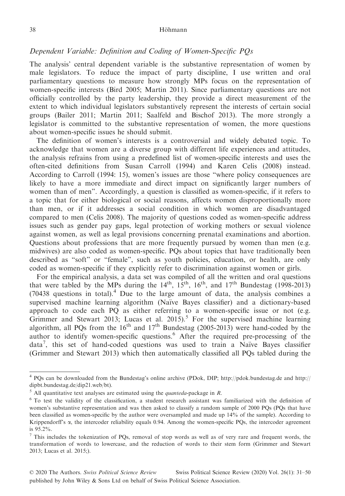## Dependent Variable: Definition and Coding of Women-Specific PQs

The analysis' central dependent variable is the substantive representation of women by male legislators. To reduce the impact of party discipline, I use written and oral parliamentary questions to measure how strongly MPs focus on the representation of women-specific interests (Bird 2005; Martin 2011). Since parliamentary questions are not officially controlled by the party leadership, they provide a direct measurement of the extent to which individual legislators substantively represent the interests of certain social groups (Bailer 2011; Martin 2011; Saalfeld and Bischof 2013). The more strongly a legislator is committed to the substantive representation of women, the more questions about women-specific issues he should submit.

The definition of women's interests is a controversial and widely debated topic. To acknowledge that women are a diverse group with different life experiences and attitudes, the analysis refrains from using a predefined list of women-specific interests and uses the often-cited definitions from Susan Carroll (1994) and Karen Celis (2008) instead. According to Carroll (1994: 15), women's issues are those "where policy consequences are likely to have a more immediate and direct impact on significantly larger numbers of women than of men". Accordingly, a question is classified as women-specific, if it refers to a topic that for either biological or social reasons, affects women disproportionally more than men, or if it addresses a social condition in which women are disadvantaged compared to men (Celis 2008). The majority of questions coded as women-specific address issues such as gender pay gaps, legal protection of working mothers or sexual violence against women, as well as legal provisions concerning prenatal examinations and abortion. Questions about professions that are more frequently pursued by women than men (e.g. midwives) are also coded as women-specific. PQs about topics that have traditionally been described as "soft" or "female", such as youth policies, education, or health, are only coded as women-specific if they explicitly refer to discrimination against women or girls.

For the empirical analysis, a data set was compiled of all the written and oral questions that were tabled by the MPs during the  $14<sup>th</sup>$ ,  $15<sup>th</sup>$ ,  $16<sup>th</sup>$ , and  $17<sup>th</sup>$  Bundestag (1998-2013) (70438 questions in total).<sup>4</sup> Due to the large amount of data, the analysis combines a supervised machine learning algorithm (Naïve Bayes classifier) and a dictionary-based approach to code each PQ as either referring to a women-specific issue or not (e.g. Grimmer and Stewart 2013; Lucas et al. 2015).<sup>5</sup> For the supervised machine learning algorithm, all PQs from the  $16<sup>th</sup>$  and  $17<sup>th</sup>$  Bundestag (2005-2013) were hand-coded by the author to identify women-specific questions.6 After the required pre-processing of the data<sup>7</sup>, this set of hand-coded questions was used to train a Naïve Bayes classifier (Grimmer and Stewart 2013) which then automatically classified all PQs tabled during the

<sup>4</sup> PQs can be downloaded from the Bundestag's online archive (PDok, DIP;<http://pdok.bundestag.de> and [http://](http://dipbt.bundestag.de/dip21.web/bt) [dipbt.bundestag.de/dip21.web/bt](http://dipbt.bundestag.de/dip21.web/bt)).

 $<sup>5</sup>$  All quantitative text analyses are estimated using the *quanteda*-package in R.</sup>

<sup>6</sup> To test the validity of the classification, a student research assistant was familiarized with the definition of women's substantive representation and was then asked to classify a random sample of 2000 PQs (PQs that have been classified as women-specific by the author were oversampled and made up 14% of the sample). According to Krippendorff's  $\alpha$ , the intercoder reliability equals 0.94. Among the women-specific PQs, the intercoder agreement is 95.2%.

<sup>7</sup> This includes the tokenization of PQs, removal of stop words as well as of very rare and frequent words, the transformation of words to lowercase, and the reduction of words to their stem form (Grimmer and Stewart 2013; Lucas et al. 2015;).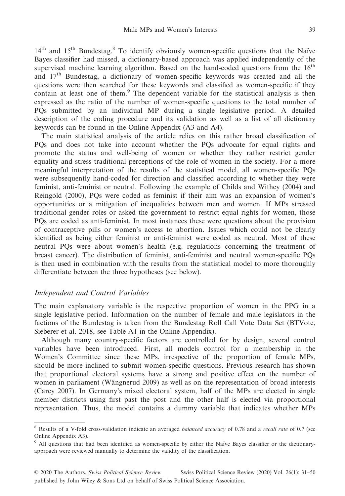$14<sup>th</sup>$  and  $15<sup>th</sup>$  Bundestag.<sup>8</sup> To identify obviously women-specific questions that the Naïve Bayes classifier had missed, a dictionary-based approach was applied independently of the supervised machine learning algorithm. Based on the hand-coded questions from the 16<sup>th</sup> and 17th Bundestag, a dictionary of women-specific keywords was created and all the questions were then searched for these keywords and classified as women-specific if they contain at least one of them.<sup>9</sup> The dependent variable for the statistical analysis is then expressed as the ratio of the number of women-specific questions to the total number of PQs submitted by an individual MP during a single legislative period. A detailed description of the coding procedure and its validation as well as a list of all dictionary keywords can be found in the Online Appendix (A3 and A4).

The main statistical analysis of the article relies on this rather broad classification of PQs and does not take into account whether the PQs advocate for equal rights and promote the status and well-being of women or whether they rather restrict gender equality and stress traditional perceptions of the role of women in the society. For a more meaningful interpretation of the results of the statistical model, all women-specific PQs were subsequently hand-coded for direction and classified according to whether they were feminist, anti-feminist or neutral. Following the example of Childs and Withey (2004) and Reingold (2000), PQs were coded as feminist if their aim was an expansion of women's opportunities or a mitigation of inequalities between men and women. If MPs stressed traditional gender roles or asked the government to restrict equal rights for women, those PQs are coded as anti-feminist. In most instances these were questions about the provision of contraceptive pills or women's access to abortion. Issues which could not be clearly identified as being either feminist or anti-feminist were coded as neutral. Most of these neutral PQs were about women's health (e.g. regulations concerning the treatment of breast cancer). The distribution of feminist, anti-feminist and neutral women-specific PQs is then used in combination with the results from the statistical model to more thoroughly differentiate between the three hypotheses (see below).

## Independent and Control Variables

The main explanatory variable is the respective proportion of women in the PPG in a single legislative period. Information on the number of female and male legislators in the factions of the Bundestag is taken from the Bundestag Roll Call Vote Data Set (BTVote, Sieberer et al. 2018, see Table A1 in the Online Appendix).

Although many country-specific factors are controlled for by design, several control variables have been introduced. First, all models control for a membership in the Women's Committee since these MPs, irrespective of the proportion of female MPs, should be more inclined to submit women-specific questions. Previous research has shown that proportional electoral systems have a strong and positive effect on the number of women in parliament (Wängnerud 2009) as well as on the representation of broad interests (Carey 2007). In Germany's mixed electoral system, half of the MPs are elected in single member districts using first past the post and the other half is elected via proportional representation. Thus, the model contains a dummy variable that indicates whether MPs

Results of a V-fold cross-validation indicate an averaged *balanced accuracy* of 0.78 and a *recall rate* of 0.7 (see Online Appendix A3).

<sup>&</sup>lt;sup>9</sup> All questions that had been identified as women-specific by either the Naïve Bayes classifier or the dictionaryapproach were reviewed manually to determine the validity of the classification.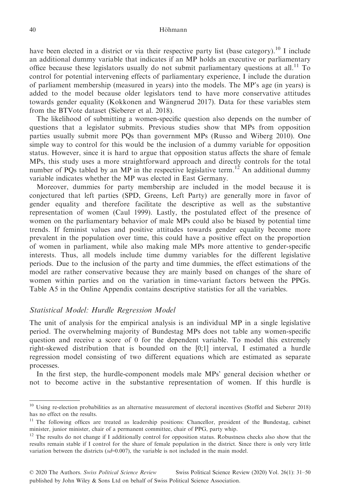have been elected in a district or via their respective party list (base category).<sup>10</sup> I include an additional dummy variable that indicates if an MP holds an executive or parliamentary office because these legislators usually do not submit parliamentary questions at all.<sup>11</sup> To control for potential intervening effects of parliamentary experience, I include the duration of parliament membership (measured in years) into the models. The MP's age (in years) is added to the model because older legislators tend to have more conservative attitudes towards gender equality (Kokkonen and Wängnerud 2017). Data for these variables stem from the BTVote dataset (Sieberer et al. 2018).

The likelihood of submitting a women-specific question also depends on the number of questions that a legislator submits. Previous studies show that MPs from opposition parties usually submit more PQs than government MPs (Russo and Wiberg 2010). One simple way to control for this would be the inclusion of a dummy variable for opposition status. However, since it is hard to argue that opposition status affects the share of female MPs, this study uses a more straightforward approach and directly controls for the total number of PQs tabled by an MP in the respective legislative term.<sup>12</sup> An additional dummy variable indicates whether the MP was elected in East Germany.

Moreover, dummies for party membership are included in the model because it is conjectured that left parties (SPD, Greens, Left Party) are generally more in favor of gender equality and therefore facilitate the descriptive as well as the substantive representation of women (Caul 1999). Lastly, the postulated effect of the presence of women on the parliamentary behavior of male MPs could also be biased by potential time trends. If feminist values and positive attitudes towards gender equality become more prevalent in the population over time, this could have a positive effect on the proportion of women in parliament, while also making male MPs more attentive to gender-specific interests. Thus, all models include time dummy variables for the different legislative periods. Due to the inclusion of the party and time dummies, the effect estimations of the model are rather conservative because they are mainly based on changes of the share of women within parties and on the variation in time-variant factors between the PPGs. Table A5 in the Online Appendix contains descriptive statistics for all the variables.

# Statistical Model: Hurdle Regression Model

The unit of analysis for the empirical analysis is an individual MP in a single legislative period. The overwhelming majority of Bundestag MPs does not table any women-specific question and receive a score of 0 for the dependent variable. To model this extremely right-skewed distribution that is bounded on the [0;1] interval, I estimated a hurdle regression model consisting of two different equations which are estimated as separate processes.

In the first step, the hurdle-component models male MPs' general decision whether or not to become active in the substantive representation of women. If this hurdle is

<sup>&</sup>lt;sup>10</sup> Using re-election probabilities as an alternative measurement of electoral incentives (Stoffel and Sieberer 2018) has no effect on the results.

<sup>&</sup>lt;sup>11</sup> The following offices are treated as leadership positions: Chancellor, president of the Bundestag, cabinet minister, junior minister, chair of a permanent committee, chair of PPG, party whip.

<sup>&</sup>lt;sup>12</sup> The results do not change if I additionally control for opposition status. Robustness checks also show that the results remain stable if I control for the share of female population in the district. Since there is only very little variation between the districts  $(sd=0.007)$ , the variable is not included in the main model.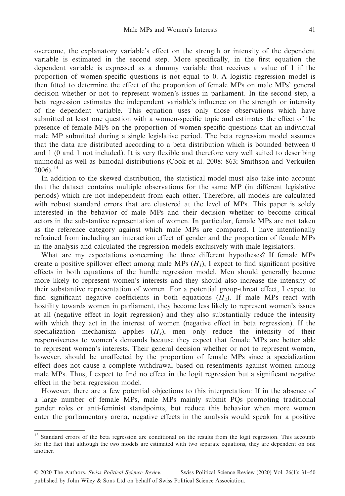overcome, the explanatory variable's effect on the strength or intensity of the dependent variable is estimated in the second step. More specifically, in the first equation the dependent variable is expressed as a dummy variable that receives a value of 1 if the proportion of women-specific questions is not equal to 0. A logistic regression model is then fitted to determine the effect of the proportion of female MPs on male MPs' general decision whether or not to represent women's issues in parliament. In the second step, a beta regression estimates the independent variable's influence on the strength or intensity of the dependent variable. This equation uses only those observations which have submitted at least one question with a women-specific topic and estimates the effect of the presence of female MPs on the proportion of women-specific questions that an individual male MP submitted during a single legislative period. The beta regression model assumes that the data are distributed according to a beta distribution which is bounded between 0 and 1 (0 and 1 not included). It is very flexible and therefore very well suited to describing unimodal as well as bimodal distributions (Cook et al. 2008: 863; Smithson and Verkuilen  $2006$ ).<sup>13</sup>

In addition to the skewed distribution, the statistical model must also take into account that the dataset contains multiple observations for the same MP (in different legislative periods) which are not independent from each other. Therefore, all models are calculated with robust standard errors that are clustered at the level of MPs. This paper is solely interested in the behavior of male MPs and their decision whether to become critical actors in the substantive representation of women. In particular, female MPs are not taken as the reference category against which male MPs are compared. I have intentionally refrained from including an interaction effect of gender and the proportion of female MPs in the analysis and calculated the regression models exclusively with male legislators.

What are my expectations concerning the three different hypotheses? If female MPs create a positive spillover effect among male MPs  $(H<sub>1</sub>)$ , I expect to find significant positive effects in both equations of the hurdle regression model. Men should generally become more likely to represent women's interests and they should also increase the intensity of their substantive representation of women. For a potential group-threat effect, I expect to find significant negative coefficients in both equations  $(H<sub>2</sub>)$ . If male MPs react with hostility towards women in parliament, they become less likely to represent women's issues at all (negative effect in logit regression) and they also substantially reduce the intensity with which they act in the interest of women (negative effect in beta regression). If the specialization mechanism applies  $(H_3)$ , men only reduce the intensity of their responsiveness to women's demands because they expect that female MPs are better able to represent women's interests. Their general decision whether or not to represent women, however, should be unaffected by the proportion of female MPs since a specialization effect does not cause a complete withdrawal based on resentments against women among male MPs. Thus, I expect to find no effect in the logit regression but a significant negative effect in the beta regression model.

However, there are a few potential objections to this interpretation: If in the absence of a large number of female MPs, male MPs mainly submit PQs promoting traditional gender roles or anti-feminist standpoints, but reduce this behavior when more women enter the parliamentary arena, negative effects in the analysis would speak for a positive

<sup>&</sup>lt;sup>13</sup> Standard errors of the beta regression are conditional on the results from the logit regression. This accounts for the fact that although the two models are estimated with two separate equations, they are dependent on one another.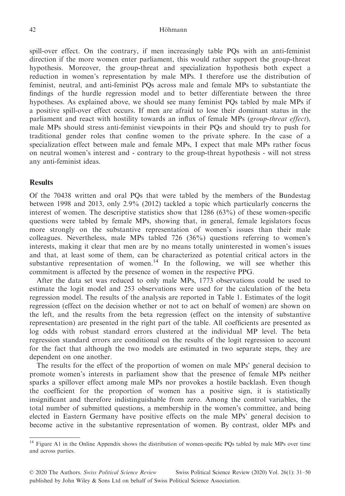spill-over effect. On the contrary, if men increasingly table PQs with an anti-feminist direction if the more women enter parliament, this would rather support the group-threat hypothesis. Moreover, the group-threat and specialization hypothesis both expect a reduction in women's representation by male MPs. I therefore use the distribution of feminist, neutral, and anti-feminist PQs across male and female MPs to substantiate the findings of the hurdle regression model and to better differentiate between the three hypotheses. As explained above, we should see many feminist PQs tabled by male MPs if a positive spill-over effect occurs. If men are afraid to lose their dominant status in the parliament and react with hostility towards an influx of female MPs (group-threat effect), male MPs should stress anti-feminist viewpoints in their PQs and should try to push for traditional gender roles that confine women to the private sphere. In the case of a specialization effect between male and female MPs, I expect that male MPs rather focus on neutral women's interest and - contrary to the group-threat hypothesis - will not stress any anti-feminist ideas.

## **Results**

Of the 70438 written and oral PQs that were tabled by the members of the Bundestag between 1998 and 2013, only 2.9% (2012) tackled a topic which particularly concerns the interest of women. The descriptive statistics show that 1286 (63%) of these women-specific questions were tabled by female MPs, showing that, in general, female legislators focus more strongly on the substantive representation of women's issues than their male colleagues. Nevertheless, male MPs tabled 726 (36%) questions referring to women's interests, making it clear that men are by no means totally uninterested in women's issues and that, at least some of them, can be characterized as potential critical actors in the substantive representation of women.<sup>14</sup> In the following, we will see whether this commitment is affected by the presence of women in the respective PPG.

After the data set was reduced to only male MPs, 1773 observations could be used to estimate the logit model and 253 observations were used for the calculation of the beta regression model. The results of the analysis are reported in Table 1. Estimates of the logit regression (effect on the decision whether or not to act on behalf of women) are shown on the left, and the results from the beta regression (effect on the intensity of substantive representation) are presented in the right part of the table. All coefficients are presented as log odds with robust standard errors clustered at the individual MP level. The beta regression standard errors are conditional on the results of the logit regression to account for the fact that although the two models are estimated in two separate steps, they are dependent on one another.

The results for the effect of the proportion of women on male MPs' general decision to promote women's interests in parliament show that the presence of female MPs neither sparks a spillover effect among male MPs nor provokes a hostile backlash. Even though the coefficient for the proportion of women has a positive sign, it is statistically insignificant and therefore indistinguishable from zero. Among the control variables, the total number of submitted questions, a membership in the women's committee, and being elected in Eastern Germany have positive effects on the male MPs' general decision to become active in the substantive representation of women. By contrast, older MPs and

<sup>&</sup>lt;sup>14</sup> Figure A1 in the Online Appendix shows the distribution of women-specific PQs tabled by male MPs over time and across parties.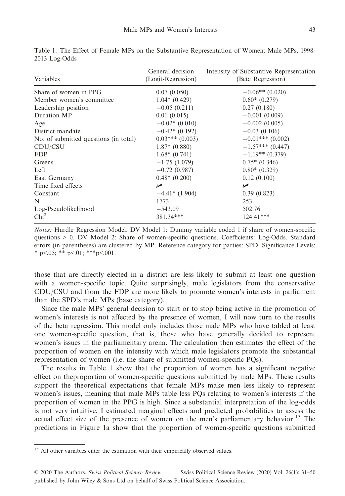| Variables                             | General decision<br>(Logit-Regression) | Intensity of Substantive Representation<br>(Beta Regression) |  |
|---------------------------------------|----------------------------------------|--------------------------------------------------------------|--|
| Share of women in PPG                 | 0.07(0.050)                            | $-0.06**$ (0.020)                                            |  |
| Member women's committee              | $1.04*(0.429)$                         | $0.60*(0.279)$                                               |  |
| Leadership position                   | $-0.05(0.211)$                         | 0.27(0.180)                                                  |  |
| Duration MP                           | 0.01(0.015)                            | $-0.001(0.009)$                                              |  |
| Age                                   | $-0.02*(0.010)$                        | $-0.002(0.005)$                                              |  |
| District mandate                      | $-0.42*(0.192)$                        | $-0.03(0.106)$                                               |  |
| No. of submitted questions (in total) | $0.03***(0.003)$                       | $-0.01***$ (0.002)                                           |  |
| CDU/CSU                               | $1.87*$ (0.880)                        | $-1.57***$ (0.447)                                           |  |
| <b>FDP</b>                            | $1.68*(0.741)$                         | $-1.19**$ (0.379)                                            |  |
| Greens                                | $-1.75(1.079)$                         | $0.75*(0.346)$                                               |  |
| Left                                  | $-0.72(0.987)$                         | $0.80*(0.329)$                                               |  |
| East Germany                          | $0.48*(0.200)$                         | 0.12(0.100)                                                  |  |
| Time fixed effects                    | مما                                    | ✔                                                            |  |
| Constant                              | $-4.41*(1.904)$                        | 0.39(0.823)                                                  |  |
| N                                     | 1773                                   | 253                                                          |  |
| Log-Pseudolikelihood                  | $-543.09$                              | 502.76                                                       |  |
| Chi <sup>2</sup>                      | 381.34***                              | $124.41***$                                                  |  |

Table 1: The Effect of Female MPs on the Substantive Representation of Women: Male MPs, 1998- 2013 Log-Odds

Notes: Hurdle Regression Model. DV Model 1: Dummy variable coded 1 if share of women-specific questions > 0. DV Model 2: Share of women-specific questions. Coefficients: Log-Odds. Standard errors (in parentheses) are clustered by MP. Reference category for parties: SPD. Significance Levels: \* p<.05; \*\* p<.01; \*\*\* p<.001.

those that are directly elected in a district are less likely to submit at least one question with a women-specific topic. Quite surprisingly, male legislators from the conservative CDU/CSU and from the FDP are more likely to promote women's interests in parliament than the SPD's male MPs (base category).

Since the male MPs' general decision to start or to stop being active in the promotion of women's interests is not affected by the presence of women, I will now turn to the results of the beta regression. This model only includes those male MPs who have tabled at least one women-specific question, that is, those who have generally decided to represent women's issues in the parliamentary arena. The calculation then estimates the effect of the proportion of women on the intensity with which male legislators promote the substantial representation of women (i.e. the share of submitted women-specific PQs).

The results in Table 1 show that the proportion of women has a significant negative effect on theproportion of women-specific questions submitted by male MPs. These results support the theoretical expectations that female MPs make men less likely to represent women's issues, meaning that male MPs table less PQs relating to women's interests if the proportion of women in the PPG is high. Since a substantial interpretation of the log-odds is not very intuitive, I estimated marginal effects and predicted probabilities to assess the actual effect size of the presence of women on the men's parliamentary behavior.<sup>15</sup> The predictions in Figure 1a show that the proportion of women-specific questions submitted

<sup>&</sup>lt;sup>15</sup> All other variables enter the estimation with their empirically observed values.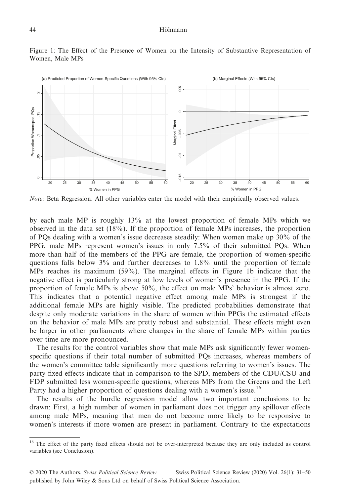

Figure 1: The Effect of the Presence of Women on the Intensity of Substantive Representation of Women, Male MPs

Note: Beta Regression. All other variables enter the model with their empirically observed values.

by each male MP is roughly 13% at the lowest proportion of female MPs which we observed in the data set (18%). If the proportion of female MPs increases, the proportion of PQs dealing with a women's issue decreases steadily: When women make up 30% of the PPG, male MPs represent women's issues in only 7.5% of their submitted PQs. When more than half of the members of the PPG are female, the proportion of women-specific questions falls below 3% and further decreases to 1.8% until the proportion of female MPs reaches its maximum (59%). The marginal effects in Figure 1b indicate that the negative effect is particularly strong at low levels of women's presence in the PPG. If the proportion of female MPs is above 50%, the effect on male MPs' behavior is almost zero. This indicates that a potential negative effect among male MPs is strongest if the additional female MPs are highly visible. The predicted probabilities demonstrate that despite only moderate variations in the share of women within PPGs the estimated effects on the behavior of male MPs are pretty robust and substantial. These effects might even be larger in other parliaments where changes in the share of female MPs within parties over time are more pronounced.

The results for the control variables show that male MPs ask significantly fewer womenspecific questions if their total number of submitted PQs increases, whereas members of the women's committee table significantly more questions referring to women's issues. The party fixed effects indicate that in comparison to the SPD, members of the CDU/CSU and FDP submitted less women-specific questions, whereas MPs from the Greens and the Left Party had a higher proportion of questions dealing with a women's issue.<sup>16</sup>

The results of the hurdle regression model allow two important conclusions to be drawn: First, a high number of women in parliament does not trigger any spillover effects among male MPs, meaning that men do not become more likely to be responsive to women's interests if more women are present in parliament. Contrary to the expectations

<sup>&</sup>lt;sup>16</sup> The effect of the party fixed effects should not be over-interpreted because they are only included as control variables (see Conclusion).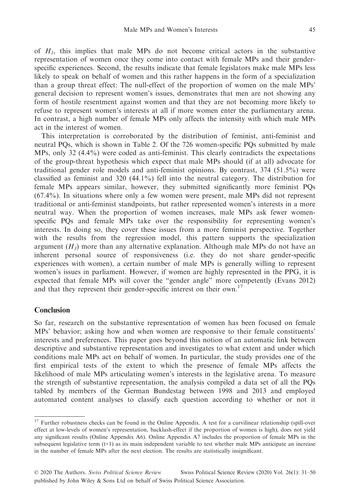of  $H_1$ , this implies that male MPs do not become critical actors in the substantive representation of women once they come into contact with female MPs and their genderspecific experiences. Second, the results indicate that female legislators make male MPs less likely to speak on behalf of women and this rather happens in the form of a specialization than a group threat effect: The null-effect of the proportion of women on the male MPs' general decision to represent women's issues, demonstrates that men are not showing any form of hostile resentment against women and that they are not becoming more likely to refuse to represent women's interests at all if more women enter the parliamentary arena. In contrast, a high number of female MPs only affects the intensity with which male MPs act in the interest of women.

This interpretation is corroborated by the distribution of feminist, anti-feminist and neutral PQs, which is shown in Table 2. Of the 726 women-specific PQs submitted by male MPs, only 32 (4.4%) were coded as anti-feminist. This clearly contradicts the expectations of the group-threat hypothesis which expect that male MPs should (if at all) advocate for traditional gender role models and anti-feminist opinions. By contrast, 374 (51.5%) were classified as feminist and 320 (44.1%) fell into the neutral category. The distribution for female MPs appears similar, however, they submitted significantly more feminist PQs (67.4%). In situations where only a few women were present, male MPs did not represent traditional or anti-feminist standpoints, but rather represented women's interests in a more neutral way. When the proportion of women increases, male MPs ask fewer womenspecific PQs and female MPs take over the responsibility for representing women's interests. In doing so, they cover these issues from a more feminist perspective. Together with the results from the regression model, this pattern supports the specialization argument  $(H_3)$  more than any alternative explanation. Although male MPs do not have an inherent personal source of responsiveness (i.e. they do not share gender-specific experiences with women), a certain number of male MPs is generally willing to represent women's issues in parliament. However, if women are highly represented in the PPG, it is expected that female MPs will cover the "gender angle" more competently (Evans 2012) and that they represent their gender-specific interest on their own.<sup>17</sup>

## Conclusion

So far, research on the substantive representation of women has been focused on female MPs' behavior; asking how and when women are responsive to their female constituents' interests and preferences. This paper goes beyond this notion of an automatic link between descriptive and substantive representation and investigates to what extent and under which conditions male MPs act on behalf of women. In particular, the study provides one of the first empirical tests of the extent to which the presence of female MPs affects the likelihood of male MPs articulating women's interests in the legislative arena. To measure the strength of substantive representation, the analysis compiled a data set of all the PQs tabled by members of the German Bundestag between 1998 and 2013 and employed automated content analyses to classify each question according to whether or not it

<sup>&</sup>lt;sup>17</sup> Further robustness checks can be found in the Online Appendix. A test for a curvilinear relationship (spill-over effect at low-levels of women's representation, backlash-effect if the proportion of women is high), does not yield any significant results (Online Appendix A6). Online Appendix A7 includes the proportion of female MPs in the subsequent legislative term (t+1) as its main independent variable to test whether male MPs anticipate an increase in the number of female MPs after the next election. The results are statistically insignificant.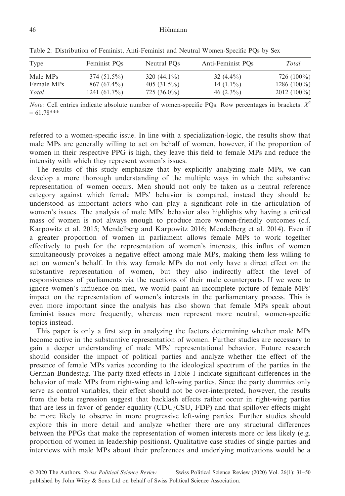| Type       | Feminist PO <sub>s</sub> | Neutral PO <sub>s</sub> | Anti-Feminist POs | Total         |
|------------|--------------------------|-------------------------|-------------------|---------------|
| Male MPs   | $374(51.5\%)$            | 320 $(44.1\%)$          | 32 $(4.4\%)$      | 726 $(100\%)$ |
| Female MPs | $867(67.4\%)$            | 405 $(31.5\%)$          | $14(1.1\%)$       | $1286(100\%)$ |
| Total      | 1241 $(61.7\%)$          | $725(36.0\%)$           | 46 $(2.3\%)$      | $2012(100\%)$ |

Table 2: Distribution of Feminist, Anti-Feminist and Neutral Women-Specific PQs by Sex

*Note:* Cell entries indicate absolute number of women-specific PQs. Row percentages in brackets.  $X^2$  $= 61.78***$ 

referred to a women-specific issue. In line with a specialization-logic, the results show that male MPs are generally willing to act on behalf of women, however, if the proportion of women in their respective PPG is high, they leave this field to female MPs and reduce the intensity with which they represent women's issues.

The results of this study emphasize that by explicitly analyzing male MPs, we can develop a more thorough understanding of the multiple ways in which the substantive representation of women occurs. Men should not only be taken as a neutral reference category against which female MPs' behavior is compared, instead they should be understood as important actors who can play a significant role in the articulation of women's issues. The analysis of male MPs' behavior also highlights why having a critical mass of women is not always enough to produce more women-friendly outcomes (c.f. Karpowitz et al. 2015; Mendelberg and Karpowitz 2016; Mendelberg et al. 2014). Even if a greater proportion of women in parliament allows female MPs to work together effectively to push for the representation of women's interests, this influx of women simultaneously provokes a negative effect among male MPs, making them less willing to act on women's behalf. In this way female MPs do not only have a direct effect on the substantive representation of women, but they also indirectly affect the level of responsiveness of parliaments via the reactions of their male counterparts. If we were to ignore women's influence on men, we would paint an incomplete picture of female MPs' impact on the representation of women's interests in the parliamentary process. This is even more important since the analysis has also shown that female MPs speak about feminist issues more frequently, whereas men represent more neutral, women-specific topics instead.

This paper is only a first step in analyzing the factors determining whether male MPs become active in the substantive representation of women. Further studies are necessary to gain a deeper understanding of male MPs' representational behavior. Future research should consider the impact of political parties and analyze whether the effect of the presence of female MPs varies according to the ideological spectrum of the parties in the German Bundestag. The party fixed effects in Table 1 indicate significant differences in the behavior of male MPs from right-wing and left-wing parties. Since the party dummies only serve as control variables, their effect should not be over-interpreted, however, the results from the beta regression suggest that backlash effects rather occur in right-wing parties that are less in favor of gender equality (CDU/CSU, FDP) and that spillover effects might be more likely to observe in more progressive left-wing parties. Further studies should explore this in more detail and analyze whether there are any structural differences between the PPGs that make the representation of women interests more or less likely (e.g. proportion of women in leadership positions). Qualitative case studies of single parties and interviews with male MPs about their preferences and underlying motivations would be a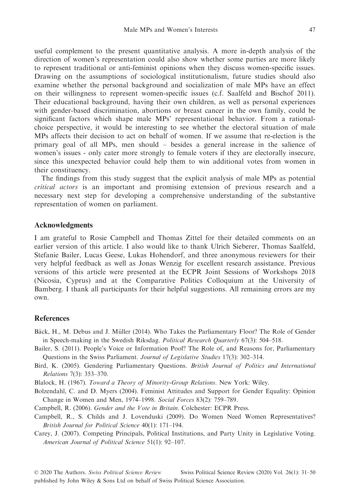useful complement to the present quantitative analysis. A more in-depth analysis of the direction of women's representation could also show whether some parties are more likely to represent traditional or anti-feminist opinions when they discuss women-specific issues. Drawing on the assumptions of sociological institutionalism, future studies should also examine whether the personal background and socialization of male MPs have an effect on their willingness to represent women-specific issues (c.f. Saalfeld and Bischof 2011). Their educational background, having their own children, as well as personal experiences with gender-based discrimination, abortions or breast cancer in the own family, could be significant factors which shape male MPs' representational behavior. From a rationalchoice perspective, it would be interesting to see whether the electoral situation of male MPs affects their decision to act on behalf of women. If we assume that re-election is the primary goal of all MPs, men should – besides a general increase in the salience of women's issues - only cater more strongly to female voters if they are electorally insecure, since this unexpected behavior could help them to win additional votes from women in their constituency.

The findings from this study suggest that the explicit analysis of male MPs as potential critical actors is an important and promising extension of previous research and a necessary next step for developing a comprehensive understanding of the substantive representation of women on parliament.

## Acknowledgments

I am grateful to Rosie Campbell and Thomas Zittel for their detailed comments on an earlier version of this article. I also would like to thank Ulrich Sieberer, Thomas Saalfeld, Stefanie Bailer, Lucas Geese, Lukas Hohendorf, and three anonymous reviewers for their very helpful feedback as well as Jonas Wenzig for excellent research assistance. Previous versions of this article were presented at the ECPR Joint Sessions of Workshops 2018 (Nicosia, Cyprus) and at the Comparative Politics Colloquium at the University of Bamberg. I thank all participants for their helpful suggestions. All remaining errors are my own.

## References

- Bäck, H., M. Debus and J. Müller (2014). Who Takes the Parliamentary Floor? The Role of Gender in Speech-making in the Swedish Riksdag. Political Research Quarterly 67(3): 504–518.
- Bailer, S. (2011). People's Voice or Information Pool? The Role of, and Reasons for, Parliamentary Questions in the Swiss Parliament. Journal of Legislative Studies 17(3): 302–314.
- Bird, K. (2005). Gendering Parliamentary Questions. British Journal of Politics and International Relations 7(3): 353–370.

Blalock, H. (1967). Toward a Theory of Minority-Group Relations. New York: Wiley.

Bolzendahl, C. and D. Myers (2004). Feminist Attitudes and Support for Gender Equality: Opinion Change in Women and Men, 1974–1998. Social Forces 83(2): 759–789.

Campbell, R. (2006). Gender and the Vote in Britain. Colchester: ECPR Press.

Campbell, R., S. Childs and J. Lovenduski (2009). Do Women Need Women Representatives? British Journal for Political Science 40(1): 171–194.

Carey, J. (2007). Competing Principals, Political Institutions, and Party Unity in Legislative Voting. American Journal of Political Science 51(1): 92–107.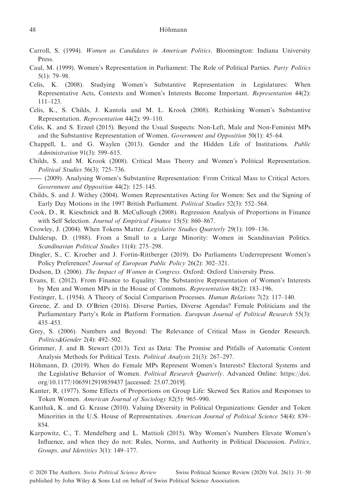- Carroll, S. (1994). Women as Candidates in American Politics. Bloomington: Indiana University Press.
- Caul, M. (1999). Women's Representation in Parliament: The Role of Political Parties. Party Politics 5(1): 79–98.
- Celis, K. (2008). Studying Women's Substantive Representation in Legislatures: When Representative Acts, Contexts and Women's Interests Become Important. Representation 44(2): 111–123.
- Celis, K., S. Childs, J. Kantola and M. L. Krook (2008). Rethinking Women's Substantive Representation. Representation 44(2): 99–110.
- Celis, K. and S. Erzeel (2015). Beyond the Usual Suspects: Non-Left, Male and Non-Feminist MPs and the Substantive Representation of Women. Government and Opposition 50(1): 45–64.
- Chappell, L. and G. Waylen (2013). Gender and the Hidden Life of Institutions. Public Administration 91(3): 599–615.
- Childs, S. and M. Krook (2008). Critical Mass Theory and Women's Political Representation. Political Studies 56(3): 725–736. Chappell, L. and G. Waylen (2013). Gender and the Hidden Life of Institutions. *Public Administration* 91(3): 599–615.<br>Childs, S. and M. Krook (2008). Critical Mass Theory and Women's Political Representation.<br>*Political S*
- Government and Opposition 44(2): 125–145.
- Childs, S. and J. Withey (2004). Women Representatives Acting for Women: Sex and the Signing of Early Day Motions in the 1997 British Parliament. Political Studies 52(3): 552–564.
- Cook, D., R. Kieschnick and B. McCullough (2008). Regression Analysis of Proportions in Finance with Self Selection. Journal of Empirical Finance 15(5): 860–867.
- Crowley, J. (2004). When Tokens Matter. Legislative Studies Quarterly 29(1): 109–136.
- Dahlerup, D. (1988). From a Small to a Large Minority: Women in Scandinavian Politics. Scandinavian Political Studies 11(4): 275–298.
- Dingler, S., C. Kroeber and J. Fortin-Rittberger (2019). Do Parliaments Underrepresent Women's Policy Preferences? Journal of European Public Policy 26(2): 302–321.
- Dodson, D. (2006). The Impact of Women in Congress. Oxford: Oxford University Press.
- Evans, E. (2012). From Finance to Equality: The Substantive Representation of Women's Interests by Men and Women MPs in the House of Commons. Representation 48(2): 183–196.
- Festinger, L. (1954). A Theory of Social Comparison Processes. Human Relations 7(2): 117–140.
- Greene, Z. and D. O'Brien (2016). Diverse Parties, Diverse Agendas? Female Politicians and the Parliamentary Party's Role in Platform Formation. European Journal of Political Research 55(3): 435–453.
- Grey, S. (2006). Numbers and Beyond: The Relevance of Critical Mass in Gender Research. Politics&Gender 2(4): 492–502.
- Grimmer, J. and B. Stewart (2013). Text as Data: The Promise and Pitfalls of Automatic Content Analysis Methods for Political Texts. Political Analysis 21(3): 267–297.
- Höhmann, D. (2019). When do Female MPs Represent Women's Interests? Electoral Systems and the Legislative Behavior of Women. Political Research Quarterly. Advanced Online: [https://doi.](https://doi.org/10.1177/1065912919859437) [org/10.1177/1065912919859437](https://doi.org/10.1177/1065912919859437) [accessed: 25.07.2019].
- Kanter, R. (1977). Some Effects of Proportions on Group Life: Skewed Sex Ratios and Responses to Token Women. American Journal of Sociology 82(5): 965–990.
- Kanthak, K. and G. Krause (2010). Valuing Diversity in Political Organizations: Gender and Token Minorities in the U.S. House of Representatives. American Journal of Political Science 54(4): 839– 854.
- Karpowitz, C., T. Mendelberg and L. Mattioli (2015). Why Women's Numbers Elevate Women's Influence, and when they do not: Rules, Norms, and Authority in Political Discussion. Politics, Groups, and Identities 3(1): 149–177.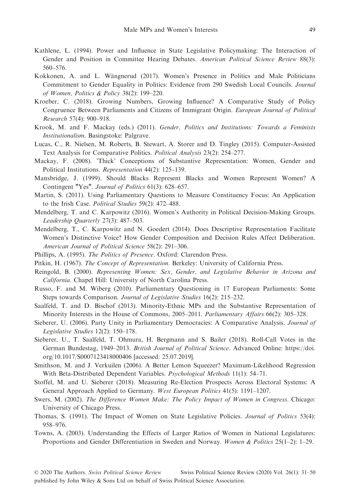- Kathlene, L. (1994). Power and Influence in State Legislative Policymaking: The Interaction of Gender and Position in Committee Hearing Debates. American Political Science Review 88(3): 560–576.
- Kokkonen, A. and L. Wängnerud (2017). Women's Presence in Politics and Male Politicians Commitment to Gender Equality in Politics: Evidence from 290 Swedish Local Councils. Journal of Women, Politics & Policy 38(2): 199–220.
- Kroeber, C. (2018). Growing Numbers, Growing Influence? A Comparative Study of Policy Congruence Between Parliaments and Citizens of Immigrant Origin. European Journal of Political Research 57(4): 900–918.
- Krook, M. and F. Mackay (eds.) (2011). Gender, Politics and Institutions: Towards a Feminists Institutionalism. Basingstoke: Palgrave.
- Lucas, C., R. Nielsen, M. Roberts, B. Stewart, A. Storer and D. Tingley (2015). Computer-Assisted Text Analysis for Comparative Politics. Political Analysis 23(2): 254–277.
- Mackay, F. (2008). 'Thick' Conceptions of Substantive Representation: Women, Gender and Political Institutions. Representation 44(2): 125–139.
- Mansbridge, J. (1999). Should Blacks Represent Blacks and Women Represent Women? A Contingent "Yes". Journal of Politics 61(3): 628–657.
- Martin, S. (2011). Using Parliamentary Questions to Measure Constituency Focus: An Application to the Irish Case. Political Studies 59(2): 472–488.
- Mendelberg, T. and C. Karpowitz (2016). Women's Authority in Political Decision-Making Groups. Leadership Quarterly 27(3): 487–503.
- Mendelberg, T., C. Karpowitz and N. Goedert (2014). Does Descriptive Representation Facilitate Women's Distinctive Voice? How Gender Composition and Decision Rules Affect Deliberation. American Journal of Political Science 58(2): 291–306.
- Phillips, A. (1995). The Politics of Presence. Oxford: Clarendon Press.
- Pitkin, H. (1967). The Concept of Representation. Berkeley: University of California Press.
- Reingold, B. (2000). Representing Women: Sex, Gender, and Legislative Behavior in Arizona and California. Chapel Hill: University of North Carolina Press.
- Russo, F. and M. Wiberg (2010). Parliamentary Questioning in 17 European Parliaments: Some Steps towards Comparison. Journal of Legislative Studies 16(2): 215–232.
- Saalfeld, T. and D. Bischof (2013). Minority-Ethnic MPs and the Substantive Representation of Minority Interests in the House of Commons, 2005–2011. Parliamentary Affairs 66(2): 305–328.
- Sieberer, U. (2006). Party Unity in Parliamentary Democracies: A Comparative Analysis. Journal of Legislative Studies 12(2): 150–178.
- Sieberer, U., T. Saalfeld, T. Ohmura, H. Bergmann and S. Bailer (2018). Roll-Call Votes in the German Bundestag, 1949–2013. British Journal of Political Science. Advanced Online: [https://doi.](https://doi.org/10.1017/S0007123418000406) [org/10.1017/S0007123418000406](https://doi.org/10.1017/S0007123418000406) [accessed: 25.07.2019].
- Smithson, M. and J. Verkuilen (2006). A Better Lemon Squeezer? Maximum-Likelihood Regression With Beta-Distributed Dependent Variables. Psychological Methods 11(1): 54–71.
- Stoffel, M. and U. Sieberer (2018). Measuring Re-Election Prospects Across Electoral Systems: A General Approach Applied to Germany. West European Politics 41(5): 1191–1207.
- Swers, M. (2002). The Difference Women Make: The Policy Impact of Women in Congress. Chicago: University of Chicago Press.
- Thomas, S. (1991). The Impact of Women on State Legislative Policies. Journal of Politics 53(4): 958–976.
- Towns, A. (2003). Understanding the Effects of Larger Ratios of Women in National Legislatures: Proportions and Gender Differentiation in Sweden and Norway. Women & Politics 25(1–2): 1–29.